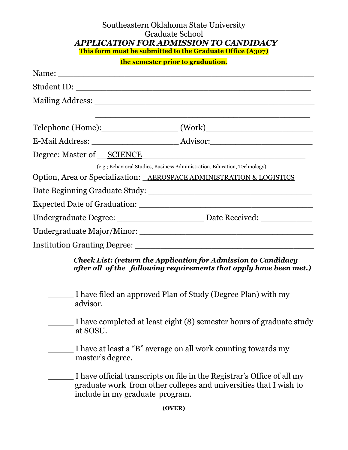## Southeastern Oklahoma State University Graduate School *APPLICATION FOR ADMISSION TO CANDIDACY* **This form must be submitted to the Graduate Office (A307)**

| the semester prior to graduation. |  |  |
|-----------------------------------|--|--|
|-----------------------------------|--|--|

|                                                                       | Telephone (Home):_______________________(Work)__________________________________                                                             |
|-----------------------------------------------------------------------|----------------------------------------------------------------------------------------------------------------------------------------------|
|                                                                       |                                                                                                                                              |
|                                                                       |                                                                                                                                              |
|                                                                       | (e.g.; Behavioral Studies, Business Administration, Education, Technology)                                                                   |
| Option, Area or Specialization: _AEROSPACE ADMINISTRATION & LOGISTICS |                                                                                                                                              |
|                                                                       |                                                                                                                                              |
|                                                                       |                                                                                                                                              |
|                                                                       |                                                                                                                                              |
|                                                                       |                                                                                                                                              |
|                                                                       |                                                                                                                                              |
|                                                                       | <b>Check List: (return the Application for Admission to Candidacy</b><br>after all of the following requirements that apply have been met.)  |
| advisor.                                                              | I have filed an approved Plan of Study (Degree Plan) with my                                                                                 |
| at SOSU.                                                              | I have completed at least eight (8) semester hours of graduate study                                                                         |
| master's degree.                                                      | I have at least a "B" average on all work counting towards my                                                                                |
| include in my graduate program.                                       | I have official transcripts on file in the Registrar's Office of all my<br>graduate work from other colleges and universities that I wish to |